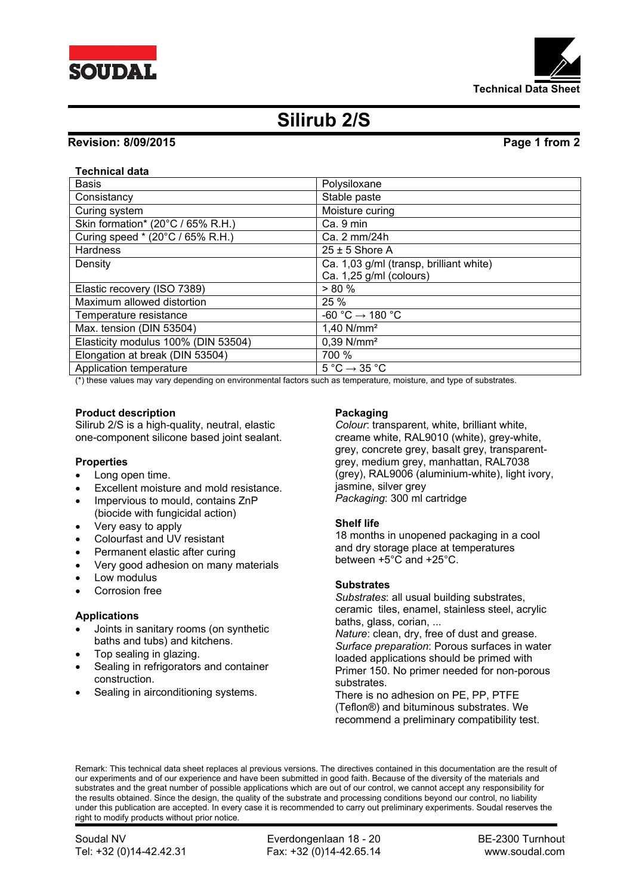



# **Silirub 2/S**

# **Revision: 8/09/2015 Page 1 from 2**

## **Technical data**

| <b>Basis</b>                        | Polysiloxane                                |
|-------------------------------------|---------------------------------------------|
| Consistancy                         | Stable paste                                |
| Curing system                       | Moisture curing                             |
| Skin formation* (20°C / 65% R.H.)   | Ca. 9 min                                   |
| Curing speed * (20°C / 65% R.H.)    | Ca. 2 mm/24h                                |
| Hardness                            | $25 \pm 5$ Shore A                          |
| Density                             | Ca. 1,03 g/ml (transp, brilliant white)     |
|                                     | Ca. 1,25 g/ml (colours)                     |
| Elastic recovery (ISO 7389)         | > 80%                                       |
| Maximum allowed distortion          | 25 %                                        |
| Temperature resistance              | $-60 °C \rightarrow 180 °C$                 |
| Max. tension (DIN 53504)            | 1,40 $N/mm^2$                               |
| Elasticity modulus 100% (DIN 53504) | $0.39$ N/mm <sup>2</sup>                    |
| Elongation at break (DIN 53504)     | 700 %                                       |
| Application temperature             | $5^{\circ}$ C $\rightarrow$ 35 $^{\circ}$ C |

(\*) these values may vary depending on environmental factors such as temperature, moisture, and type of substrates.

### **Product description**

Silirub 2/S is a high-quality, neutral, elastic one-component silicone based joint sealant.

### **Properties**

- Long open time.
- Excellent moisture and mold resistance.
- Impervious to mould, contains ZnP (biocide with fungicidal action)
- Very easy to apply
- Colourfast and UV resistant
- Permanent elastic after curing
- Very good adhesion on many materials
- Low modulus
- Corrosion free

### **Applications**

- Joints in sanitary rooms (on synthetic baths and tubs) and kitchens.
- Top sealing in glazing.
- Sealing in refrigorators and container construction.
- Sealing in airconditioning systems.

### **Packaging**

*Colour*: transparent, white, brilliant white, creame white, RAL9010 (white), grey-white, grey, concrete grey, basalt grey, transparentgrey, medium grey, manhattan, RAL7038 (grey), RAL9006 (aluminium-white), light ivory, jasmine, silver grev *Packaging*: 300 ml cartridge

### **Shelf life**

18 months in unopened packaging in a cool and dry storage place at temperatures between +5°C and +25°C.

### **Substrates**

*Substrates*: all usual building substrates, ceramic tiles, enamel, stainless steel, acrylic baths, glass, corian, ...

*Nature*: clean, dry, free of dust and grease. *Surface preparation*: Porous surfaces in water loaded applications should be primed with Primer 150. No primer needed for non-porous substrates.

There is no adhesion on PE, PP, PTFE (Teflon®) and bituminous substrates. We recommend a preliminary compatibility test.

Remark: This technical data sheet replaces al previous versions. The directives contained in this documentation are the result of our experiments and of our experience and have been submitted in good faith. Because of the diversity of the materials and substrates and the great number of possible applications which are out of our control, we cannot accept any responsibility for the results obtained. Since the design, the quality of the substrate and processing conditions beyond our control, no liability under this publication are accepted. In every case it is recommended to carry out preliminary experiments. Soudal reserves the right to modify products without prior notice.

Soudal NV **Everdongenlaan 18 - 20** BE-2300 Turnhout